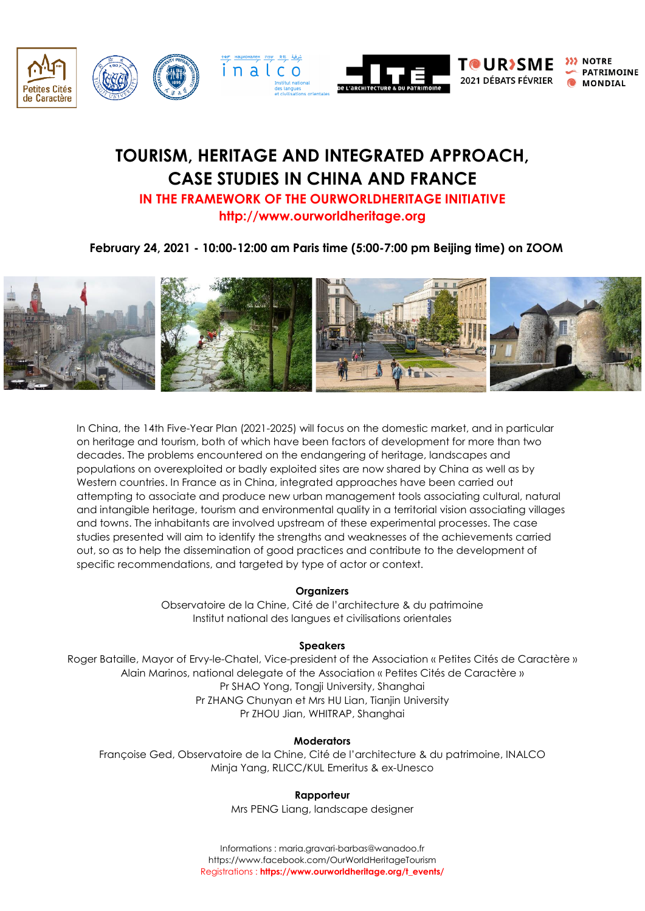

# **TOURISM, HERITAGE AND INTEGRATED APPROACH, CASE STUDIES IN CHINA AND FRANCE IN THE FRAMEWORK OF THE OURWORLDHERITAGE INITIATIVE**

**http://www.ourworldheritage.org**

## **February 24, 2021 - 10:00-12:00 am Paris time (5:00-7:00 pm Beijing time) on ZOOM**



In China, the 14th Five-Year Plan (2021-2025) will focus on the domestic market, and in particular on heritage and tourism, both of which have been factors of development for more than two decades. The problems encountered on the endangering of heritage, landscapes and populations on overexploited or badly exploited sites are now shared by China as well as by Western countries. In France as in China, integrated approaches have been carried out attempting to associate and produce new urban management tools associating cultural, natural and intangible heritage, tourism and environmental quality in a territorial vision associating villages and towns. The inhabitants are involved upstream of these experimental processes. The case studies presented will aim to identify the strengths and weaknesses of the achievements carried out, so as to help the dissemination of good practices and contribute to the development of specific recommendations, and targeted by type of actor or context.

## **Organizers**

Observatoire de la Chine, Cité de l'architecture & du patrimoine Institut national des langues et civilisations orientales

## **Speakers**

Roger Bataille, Mayor of Ervy-le-Chatel, Vice-president of the Association « Petites Cités de Caractère » Alain Marinos, national delegate of the Association « Petites Cités de Caractère » Pr SHAO Yong, Tongji University, Shanghai Pr ZHANG Chunyan et Mrs HU Lian, Tianjin University Pr ZHOU Jian, WHITRAP, Shanghai

### **Moderators**

Françoise Ged, Observatoire de la Chine, Cité de l'architecture & du patrimoine, INALCO Minja Yang, RLICC/KUL Emeritus & ex-Unesco

## **Rapporteur**

Mrs PENG Liang, landscape designer

Informations [: maria.gravari-barbas@wanadoo.fr](mailto:maria.gravari-barbas@wanadoo.fr) <https://www.facebook.com/OurWorldHeritageTourism> Registrations : **[https://www.ourworldheritage.org/t\\_events/](https://www.ourworldheritage.org/t_events/)**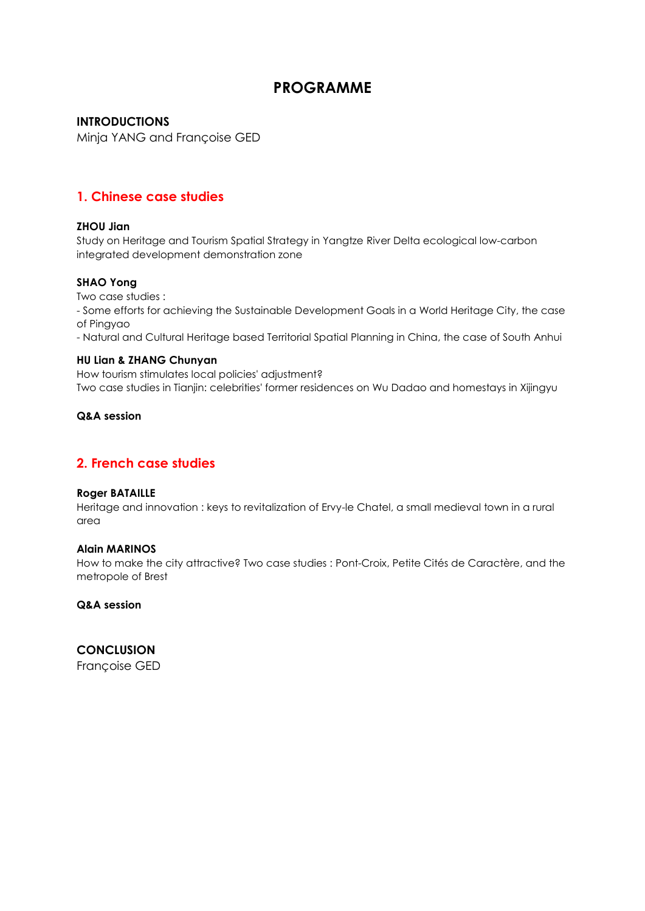# **PROGRAMME**

## **INTRODUCTIONS**

Minja YANG and Françoise GED

## **1. Chinese case studies**

## **ZHOU Jian**

Study on Heritage and Tourism Spatial Strategy in Yangtze River Delta ecological low-carbon integrated development demonstration zone

## **SHAO Yong**

Two case studies :

- Some efforts for achieving the Sustainable Development Goals in a World Heritage City, the case of Pingyao

- Natural and Cultural Heritage based Territorial Spatial Planning in China, the case of South Anhui

## **HU Lian & ZHANG Chunyan**

How tourism stimulates local policies' adjustment? Two case studies in Tianjin: celebrities' former residences on Wu Dadao and homestays in Xijingyu

## **Q&A session**

## **2. French case studies**

## **Roger BATAILLE**

Heritage and innovation : keys to revitalization of Ervy-le Chatel, a small medieval town in a rural area

## **Alain MARINOS**

How to make the city attractive? Two case studies : Pont-Croix, Petite Cités de Caractère, and the metropole of Brest

**Q&A session**

**CONCLUSION** Françoise GED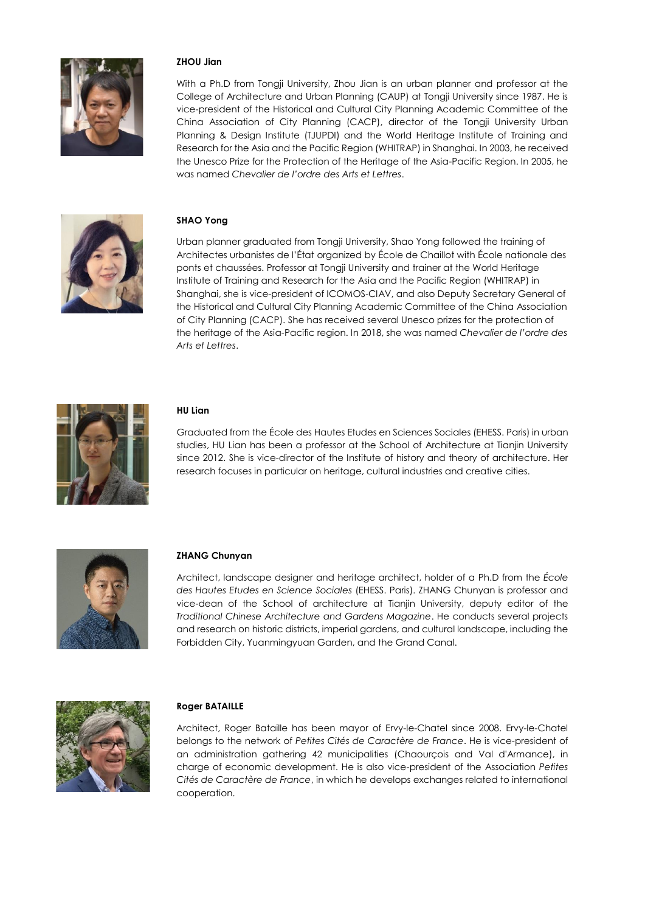

### **ZHOU Jian**

With a Ph.D from Tongji University, Zhou Jian is an urban planner and professor at the College of Architecture and Urban Planning (CAUP) at Tongji University since 1987. He is vice-president of the Historical and Cultural City Planning Academic Committee of the China Association of City Planning (CACP), director of the Tongji University Urban Planning & Design Institute (TJUPDI) and the World Heritage Institute of Training and Research for the Asia and the Pacific Region (WHITRAP) in Shanghai. In 2003, he received the Unesco Prize for the Protection of the Heritage of the Asia-Pacific Region. In 2005, he was named *Chevalier de l'ordre des Arts et Lettres*.



### **SHAO Yong**

Urban planner graduated from Tongji University, Shao Yong followed the training of Architectes urbanistes de l'État organized by École de Chaillot with École nationale des ponts et chaussées. Professor at Tongji University and trainer at the World Heritage Institute of Training and Research for the Asia and the Pacific Region (WHITRAP) in Shanghai, she is vice-president of ICOMOS-CIAV, and also Deputy Secretary General of the Historical and Cultural City Planning Academic Committee of the China Association of City Planning (CACP). She has received several Unesco prizes for the protection of the heritage of the Asia-Pacific region. In 2018, she was named *Chevalier de l'ordre des Arts et Lettres*.



#### **HU Lian**

Graduated from the École des Hautes Etudes en Sciences Sociales (EHESS. Paris) in urban studies, HU Lian has been a professor at the School of Architecture at Tianjin University since 2012. She is vice-director of the Institute of history and theory of architecture. Her research focuses in particular on heritage, cultural industries and creative cities.



#### **ZHANG Chunyan**

Architect, landscape designer and heritage architect, holder of a Ph.D from the *École des Hautes Etudes en Science Sociales* (EHESS. Paris). ZHANG Chunyan is professor and vice-dean of the School of architecture at Tianjin University, deputy editor of the *Traditional Chinese Architecture and Gardens Magazine*. He conducts several projects and research on historic districts, imperial gardens, and cultural landscape, including the Forbidden City, Yuanmingyuan Garden, and the Grand Canal.



#### **Roger BATAILLE**

Architect, Roger Bataille has been mayor of Ervy-le-Chatel since 2008. Ervy-le-Chatel belongs to the network of *Petites Cités de Caractère de France*. He is vice-president of an administration gathering 42 municipalities (Chaourçois and Val d'Armance), in charge of economic development. He is also vice-president of the Association *Petites Cités de Caractère de France*, in which he develops exchanges related to international cooperation.